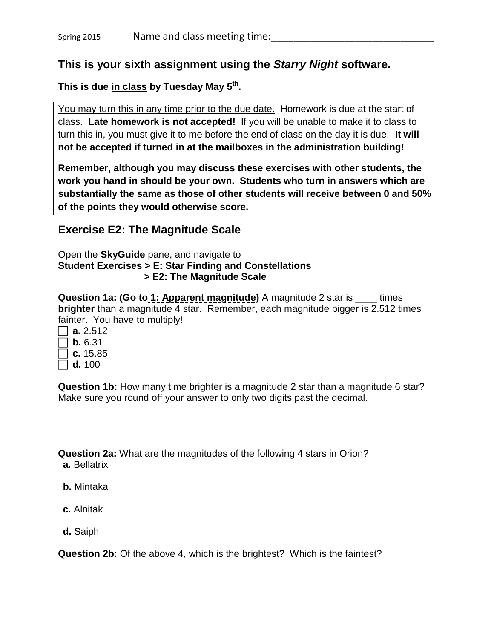#### **This is your sixth assignment using the** *Starry Night* **software.**

**This is due in class by Tuesday May 5 th .**

You may turn this in any time prior to the due date. Homework is due at the start of class. **Late homework is not accepted!** If you will be unable to make it to class to turn this in, you must give it to me before the end of class on the day it is due. **It will not be accepted if turned in at the mailboxes in the administration building!**

**Remember, although you may discuss these exercises with other students, the work you hand in should be your own. Students who turn in answers which are substantially the same as those of other students will receive between 0 and 50% of the points they would otherwise score.**

### **Exercise E2: The Magnitude Scale**

Open the **SkyGuide** pane, and navigate to **Student Exercises > E: Star Finding and Constellations > E2: The Magnitude Scale**

**Question 1a: (Go to 1: Apparent magnitude)** A magnitude 2 star is \_\_\_\_ times **brighter** than a magnitude 4 star. Remember, each magnitude bigger is 2.512 times fainter. You have to multiply!

**a.** 2.512  $\Box$  **b.** 6.31  $\top$  **c.** 15.85 **d.** 100

**Question 1b:** How many time brighter is a magnitude 2 star than a magnitude 6 star? Make sure you round off your answer to only two digits past the decimal.

**Question 2a:** What are the magnitudes of the following 4 stars in Orion? **a.** Bellatrix

- **b.** Mintaka
- **c.** Alnitak
- **d.** Saiph

**Question 2b:** Of the above 4, which is the brightest? Which is the faintest?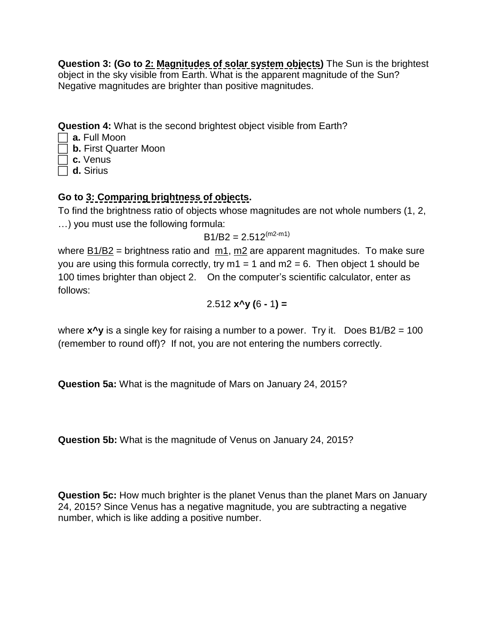**Question 3: (Go to 2: Magnitudes of solar system objects)** The Sun is the brightest object in the sky visible from Earth. What is the apparent magnitude of the Sun? Negative magnitudes are brighter than positive magnitudes.

**Question 4:** What is the second brightest object visible from Earth?

- **a.** Full Moon
- **b.** First Quarter Moon
- **c.** Venus
- **d.** Sirius

# **Go to 3: Comparing brightness of objects.**

To find the brightness ratio of objects whose magnitudes are not whole numbers (1, 2, …) you must use the following formula:

 $B1/B2 = 2.512<sup>(m2-m1)</sup>$ 

where  $\underline{B1/B2}$  = brightness ratio and  $\underline{m1}$ ,  $\underline{m2}$  are apparent magnitudes. To make sure you are using this formula correctly, try  $m1 = 1$  and  $m2 = 6$ . Then object 1 should be 100 times brighter than object 2. On the computer's scientific calculator, enter as follows:

$$
2.512 \text{ x}^{\prime} \text{y} \ (6 - 1) =
$$

where **x^y** is a single key for raising a number to a power. Try it. Does B1/B2 = 100 (remember to round off)? If not, you are not entering the numbers correctly.

**Question 5a:** What is the magnitude of Mars on January 24, 2015?

**Question 5b:** What is the magnitude of Venus on January 24, 2015?

**Question 5c:** How much brighter is the planet Venus than the planet Mars on January 24, 2015? Since Venus has a negative magnitude, you are subtracting a negative number, which is like adding a positive number.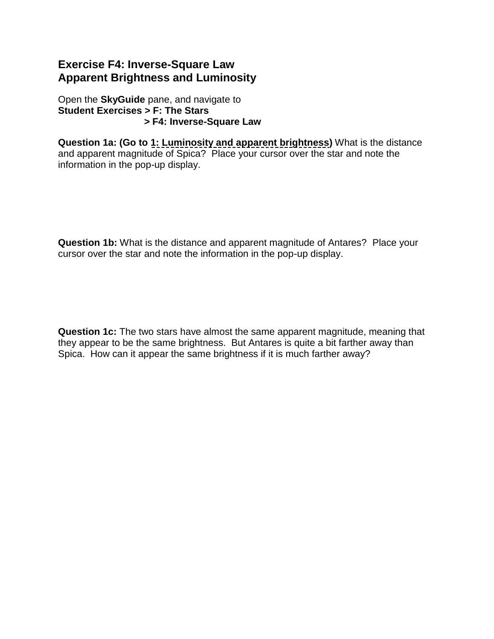## **Exercise F4: Inverse-Square Law Apparent Brightness and Luminosity**

Open the **SkyGuide** pane, and navigate to **Student Exercises > F: The Stars > F4: Inverse-Square Law**

**Question 1a: (Go to 1: Luminosity and apparent brightness)** What is the distance and apparent magnitude of Spica?Place your cursor over the star and note the information in the pop-up display.

**Question 1b:** What is the distance and apparent magnitude of Antares?Place your cursor over the star and note the information in the pop-up display.

**Question 1c:** The two stars have almost the same apparent magnitude, meaning that they appear to be the same brightness. But Antares is quite a bit farther away than Spica. How can it appear the same brightness if it is much farther away?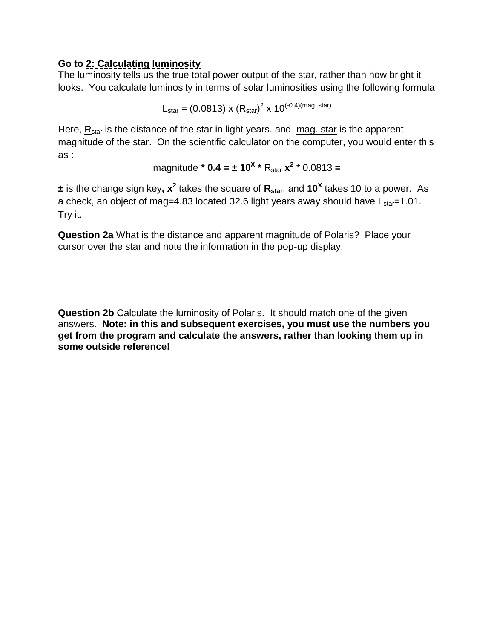#### **Go to 2: Calculating luminosity**

The luminosity tells us the true total power output of the star, rather than how bright it looks. You calculate luminosity in terms of solar luminosities using the following formula

$$
L_{\text{star}} = (0.0813) \times (R_{\text{star}})^2 \times 10^{(-0.4)(\text{mag. star})}
$$

Here,  $R_{star}$  is the distance of the star in light years. and  $\text{mag. star}$  is the apparent magnitude of the star. On the scientific calculator on the computer, you would enter this as :

magnitude \* **0.4 = ± 10<sup>X</sup> \* R<sub>star</sub> 
$$
x^2
$$
 \* 0.0813 =**

 $\pm$  is the change sign key,  $x^2$  takes the square of  $R_{star}$ , and 10<sup>X</sup> takes 10 to a power. As a check, an object of mag=4.83 located 32.6 light years away should have  $L_{star}=1.01$ . Try it.

**Question 2a** What is the distance and apparent magnitude of Polaris?Place your cursor over the star and note the information in the pop-up display.

**Question 2b** Calculate the luminosity of Polaris. It should match one of the given answers. **Note: in this and subsequent exercises, you must use the numbers you get from the program and calculate the answers, rather than looking them up in some outside reference!**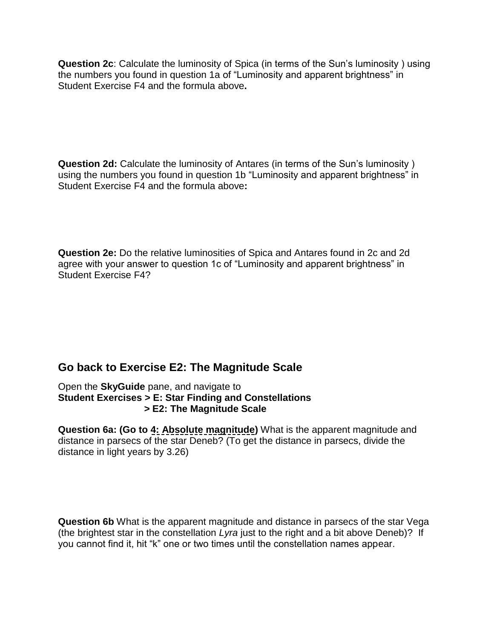**Question 2c**: Calculate the luminosity of Spica (in terms of the Sun's luminosity ) using the numbers you found in question 1a of "Luminosity and apparent brightness" in Student Exercise F4 and the formula above**.** 

**Question 2d:** Calculate the luminosity of Antares (in terms of the Sun's luminosity ) using the numbers you found in question 1b "Luminosity and apparent brightness" in Student Exercise F4 and the formula above**:**

**Question 2e:** Do the relative luminosities of Spica and Antares found in 2c and 2d agree with your answer to question 1c of "Luminosity and apparent brightness" in Student Exercise F4?

## **Go back to Exercise E2: The Magnitude Scale**

Open the **SkyGuide** pane, and navigate to **Student Exercises > E: Star Finding and Constellations > E2: The Magnitude Scale**

**Question 6a: (Go to 4: Absolute magnitude)** What is the apparent magnitude and distance in parsecs of the star Deneb? (To get the distance in parsecs, divide the distance in light years by 3.26)

**Question 6b** What is the apparent magnitude and distance in parsecs of the star Vega (the brightest star in the constellation *Lyra* just to the right and a bit above Deneb)? If you cannot find it, hit "k" one or two times until the constellation names appear.